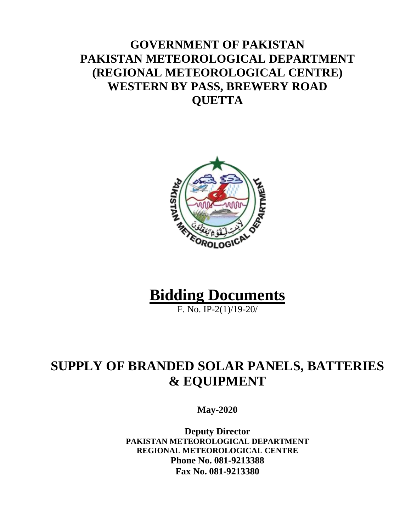### **GOVERNMENT OF PAKISTAN PAKISTAN METEOROLOGICAL DEPARTMENT (REGIONAL METEOROLOGICAL CENTRE) WESTERN BY PASS, BREWERY ROAD QUETTA**



# **Bidding Documents**

F. No. IP-2(1)/19-20/

# **SUPPLY OF BRANDED SOLAR PANELS, BATTERIES & EQUIPMENT**

**May-2020**

**Deputy Director PAKISTAN METEOROLOGICAL DEPARTMENT REGIONAL METEOROLOGICAL CENTRE Phone No. 081-9213388 Fax No. 081-9213380**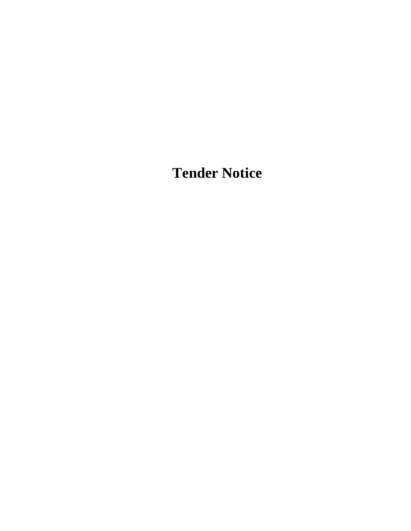**Tender Notice**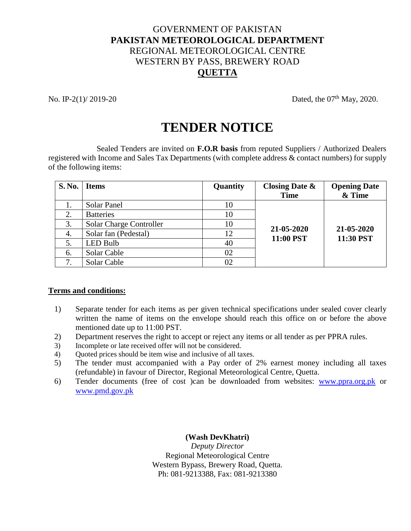#### GOVERNMENT OF PAKISTAN **PAKISTAN METEOROLOGICAL DEPARTMENT** REGIONAL METEOROLOGICAL CENTRE WESTERN BY PASS, BREWERY ROAD **QUETTA**

No. IP-2(1)/ 2019-20 Dated, the 07<sup>th</sup> May, 2020.

## **TENDER NOTICE**

Sealed Tenders are invited on **F.O.R basis** from reputed Suppliers / Authorized Dealers registered with Income and Sales Tax Departments (with complete address & contact numbers) for supply of the following items:

| S. No. | <b>Items</b>            | Quantity | Closing Date $\&$<br><b>Time</b> | <b>Opening Date</b><br>& Time |  |
|--------|-------------------------|----------|----------------------------------|-------------------------------|--|
| 1.     | Solar Panel             | 10       |                                  |                               |  |
| 2.     | <b>Batteries</b>        | 10       |                                  | 21-05-2020<br>11:30 PST       |  |
| 3.     | Solar Charge Controller | 10       | 21-05-2020                       |                               |  |
| 4.     | Solar fan (Pedestal)    | 12       | 11:00 PST                        |                               |  |
| 5.     | <b>LED Bulb</b>         | 40       |                                  |                               |  |
| 6.     | Solar Cable             | 02       |                                  |                               |  |
| 7.     | Solar Cable             | 02       |                                  |                               |  |

#### **Terms and conditions:**

- 1) Separate tender for each items as per given technical specifications under sealed cover clearly written the name of items on the envelope should reach this office on or before the above mentioned date up to 11:00 PST.
- 2) Department reserves the right to accept or reject any items or all tender as per PPRA rules.
- 3) Incomplete or late received offer will not be considered.
- 4) Quoted prices should be item wise and inclusive of all taxes.
- 5) The tender must accompanied with a Pay order of 2% earnest money including all taxes (refundable) in favour of Director, Regional Meteorological Centre, Quetta.
- 6) Tender documents (free of cost )can be downloaded from websites: [www.ppra.org.pk](http://www.ppra.org.pk/) or [www.pmd.gov.pk](http://www.pmd.gov.pk/)

**(Wash DevKhatri)**

*Deputy Director* Regional Meteorological Centre Western Bypass, Brewery Road, Quetta. Ph: 081-9213388, Fax: 081-9213380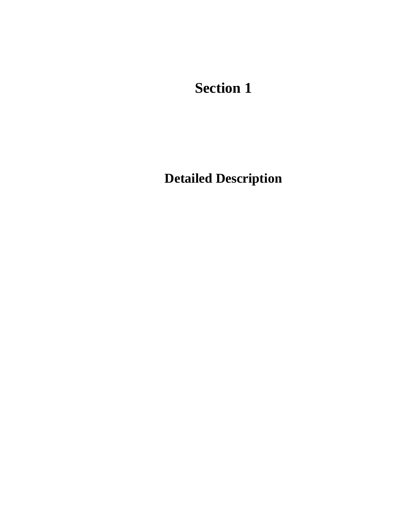**Section 1**

**Detailed Description**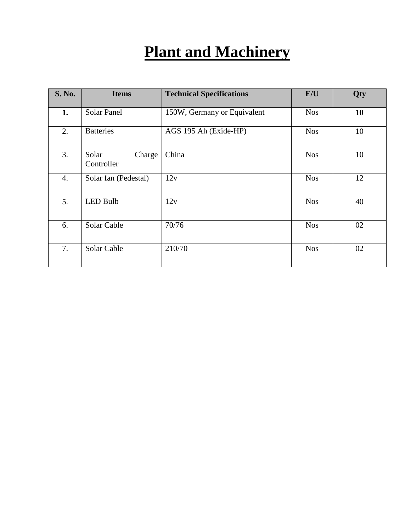# **Plant and Machinery**

| <b>S. No.</b> | <b>Items</b>                  | <b>Technical Specifications</b> | E/U        | Qty |
|---------------|-------------------------------|---------------------------------|------------|-----|
| 1.            | <b>Solar Panel</b>            | 150W, Germany or Equivalent     | <b>Nos</b> | 10  |
| 2.            | <b>Batteries</b>              | AGS 195 Ah (Exide-HP)           | <b>Nos</b> | 10  |
| 3.            | Solar<br>Charge<br>Controller | China                           | <b>Nos</b> | 10  |
| 4.            | Solar fan (Pedestal)          | 12v                             | <b>Nos</b> | 12  |
| 5.            | <b>LED Bulb</b>               | 12v                             | <b>Nos</b> | 40  |
| 6.            | Solar Cable                   | 70/76                           | <b>Nos</b> | 02  |
| 7.            | Solar Cable                   | 210/70                          | <b>Nos</b> | 02  |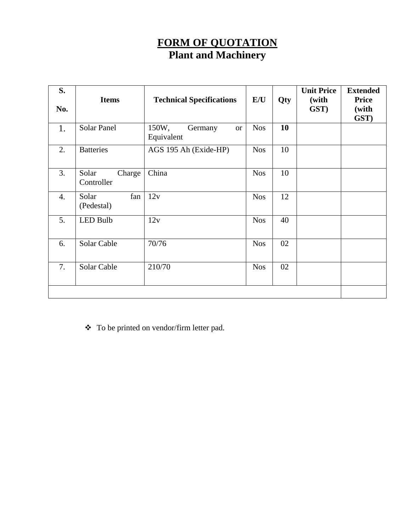#### **FORM OF QUOTATION Plant and Machinery**

| S.<br>No. | <b>Items</b>                  | <b>Technical Specifications</b>             | E/U        | Qty | <b>Unit Price</b><br>(with<br>GST) | <b>Extended</b><br><b>Price</b><br>(with<br>GST) |
|-----------|-------------------------------|---------------------------------------------|------------|-----|------------------------------------|--------------------------------------------------|
| 1.        | <b>Solar Panel</b>            | 150W,<br>Germany<br><b>or</b><br>Equivalent | <b>Nos</b> | 10  |                                    |                                                  |
| 2.        | <b>Batteries</b>              | AGS 195 Ah (Exide-HP)                       | <b>Nos</b> | 10  |                                    |                                                  |
| 3.        | Solar<br>Charge<br>Controller | China                                       | <b>Nos</b> | 10  |                                    |                                                  |
| 4.        | Solar<br>fan<br>(Pedestal)    | 12v                                         | <b>Nos</b> | 12  |                                    |                                                  |
| 5.        | <b>LED Bulb</b>               | 12v                                         | <b>Nos</b> | 40  |                                    |                                                  |
| 6.        | Solar Cable                   | 70/76                                       | <b>Nos</b> | 02  |                                    |                                                  |
| 7.        | Solar Cable                   | 210/70                                      | <b>Nos</b> | 02  |                                    |                                                  |
|           |                               |                                             |            |     |                                    |                                                  |

To be printed on vendor/firm letter pad.